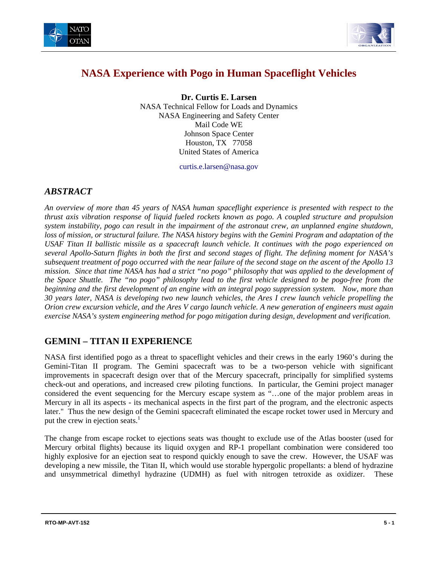



# **NASA Experience with Pogo in Human Spaceflight Vehicles**

**Dr. Curtis E. Larsen**  NASA Technical Fellow for Loads and Dynamics NASA Engineering and Safety Center Mail Code WE Johnson Space Center Houston, TX 77058 United States of America

curtis.e.larsen@nasa.gov

#### *ABSTRACT*

*An overview of more than 45 years of NASA human spaceflight experience is presented with respect to the thrust axis vibration response of liquid fueled rockets known as pogo. A coupled structure and propulsion system instability, pogo can result in the impairment of the astronaut crew, an unplanned engine shutdown, loss of mission, or structural failure. The NASA history begins with the Gemini Program and adaptation of the USAF Titan II ballistic missile as a spacecraft launch vehicle. It continues with the pogo experienced on several Apollo-Saturn flights in both the first and second stages of flight. The defining moment for NASA's subsequent treatment of pogo occurred with the near failure of the second stage on the ascent of the Apollo 13 mission. Since that time NASA has had a strict "no pogo" philosophy that was applied to the development of the Space Shuttle. The "no pogo" philosophy lead to the first vehicle designed to be pogo-free from the beginning and the first development of an engine with an integral pogo suppression system. Now, more than 30 years later, NASA is developing two new launch vehicles, the Ares I crew launch vehicle propelling the Orion crew excursion vehicle, and the Ares V cargo launch vehicle. A new generation of engineers must again exercise NASA's system engineering method for pogo mitigation during design, development and verification.* 

#### **GEMINI – TITAN II EXPERIENCE**

NASA first identified pogo as a threat to spaceflight vehicles and their crews in the early 1960's during the Gemini-Titan II program. The Gemini spacecraft was to be a two-person vehicle with significant improvements in spacecraft design over that of the Mercury spacecraft, principally for simplified systems check-out and operations, and increased crew piloting functions. In particular, the Gemini project manager considered the event sequencing for the Mercury escape system as "…one of the major problem areas in Mercury in all its aspects - its mechanical aspects in the first part of the program, and the electronic aspects later." Thus the new design of the Gemini spacecraft eliminated the escape rocket tower used in Mercury and put the crew in ejection seats.<sup>1</sup>

The change from escape rocket to ejections seats was thought to exclude use of the Atlas booster (used for Mercury orbital flights) because its liquid oxygen and RP-1 propellant combination were considered too highly explosive for an ejection seat to respond quickly enough to save the crew. However, the USAF was developing a new missile, the Titan II, which would use storable hypergolic propellants: a blend of hydrazine and unsymmetrical dimethyl hydrazine (UDMH) as fuel with nitrogen tetroxide as oxidizer. These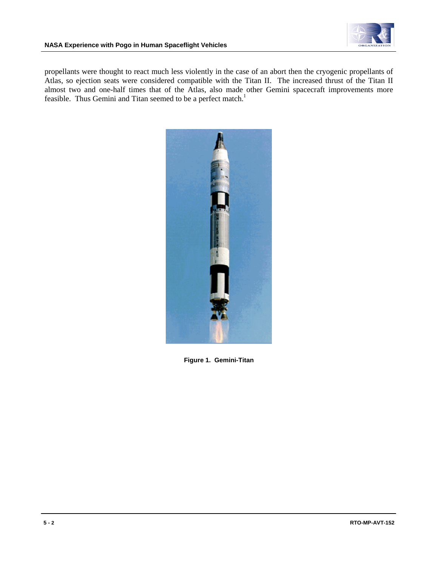

propellants were thought to react much less violently in the case of an abort then the cryogenic propellants of Atlas, so ejection seats were considered compatible with the Titan II. The increased thrust of the Titan II almost two and one-half times that of the Atlas, also made other Gemini spacecraft improvements more feasible. Thus Gemini and Titan seemed to be a perfect match.<sup>1</sup>



**Figure 1. Gemini-Titan**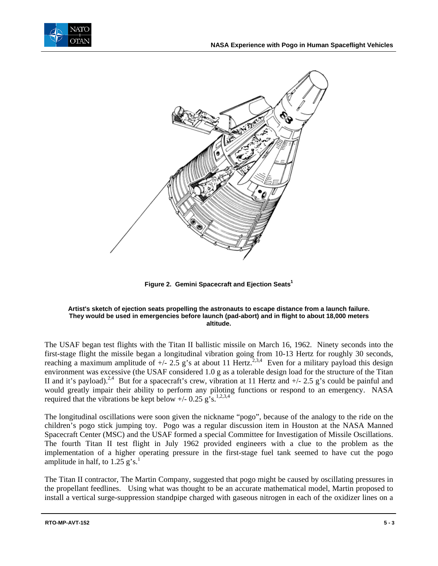



Figure 2. Gemini Spacecraft and Ejection Seats<sup>1</sup>

#### **Artist's sketch of ejection seats propelling the astronauts to escape distance from a launch failure. They would be used in emergencies before launch (pad-abort) and in flight to about 18,000 meters altitude.**

The USAF began test flights with the Titan II ballistic missile on March 16, 1962. Ninety seconds into the first-stage flight the missile began a longitudinal vibration going from 10-13 Hertz for roughly 30 seconds, reaching a maximum amplitude of  $+/- 2.5$  g's at about 11 Hertz.<sup>2,3,4</sup> Even for a military payload this design environment was excessive (the USAF considered 1.0 g as a tolerable design load for the structure of the Titan II and it's payload).<sup>2,4</sup> But for a spacecraft's crew, vibration at 11 Hertz and  $+/- 2.5$  g's could be painful and would greatly impair their ability to perform any piloting functions or respond to an emergency. NASA required that the vibrations be kept below  $+/- 0.25$  g's.<sup>1,2,3,4</sup>

The longitudinal oscillations were soon given the nickname "pogo", because of the analogy to the ride on the children's pogo stick jumping toy. Pogo was a regular discussion item in Houston at the NASA Manned Spacecraft Center (MSC) and the USAF formed a special Committee for Investigation of Missile Oscillations. The fourth Titan II test flight in July 1962 provided engineers with a clue to the problem as the implementation of a higher operating pressure in the first-stage fuel tank seemed to have cut the pogo amplitude in half, to  $1.25$  g's.<sup>1</sup>

The Titan II contractor, The Martin Company, suggested that pogo might be caused by oscillating pressures in the propellant feedlines. Using what was thought to be an accurate mathematical model, Martin proposed to install a vertical surge-suppression standpipe charged with gaseous nitrogen in each of the oxidizer lines on a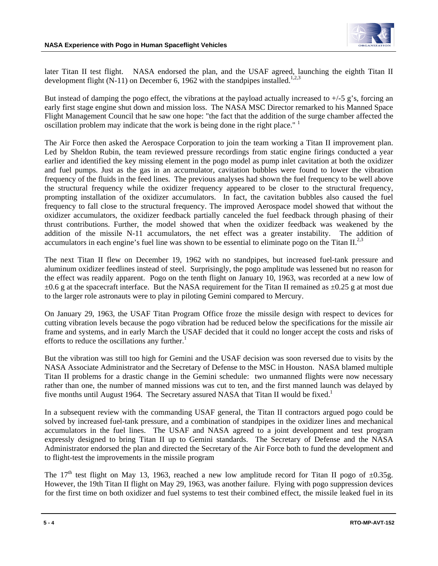

later Titan II test flight. NASA endorsed the plan, and the USAF agreed, launching the eighth Titan II development flight (N-11) on December 6, 1962 with the standpipes installed.<sup>1,2,3</sup>

But instead of damping the pogo effect, the vibrations at the payload actually increased to +/-5 g's, forcing an early first stage engine shut down and mission loss. The NASA MSC Director remarked to his Manned Space Flight Management Council that he saw one hope: "the fact that the addition of the surge chamber affected the oscillation problem may indicate that the work is being done in the right place."  $\frac{1}{1}$ 

The Air Force then asked the Aerospace Corporation to join the team working a Titan II improvement plan. Led by Sheldon Rubin, the team reviewed pressure recordings from static engine firings conducted a year earlier and identified the key missing element in the pogo model as pump inlet cavitation at both the oxidizer and fuel pumps. Just as the gas in an accumulator, cavitation bubbles were found to lower the vibration frequency of the fluids in the feed lines. The previous analyses had shown the fuel frequency to be well above the structural frequency while the oxidizer frequency appeared to be closer to the structural frequency, prompting installation of the oxidizer accumulators. In fact, the cavitation bubbles also caused the fuel frequency to fall close to the structural frequency. The improved Aerospace model showed that without the oxidizer accumulators, the oxidizer feedback partially canceled the fuel feedback through phasing of their thrust contributions. Further, the model showed that when the oxidizer feedback was weakened by the addition of the missile N-11 accumulators, the net effect was a greater instability. The addition of accumulators in each engine's fuel line was shown to be essential to eliminate pogo on the Titan  $II^{2,3}$ .

The next Titan II flew on December 19, 1962 with no standpipes, but increased fuel-tank pressure and aluminum oxidizer feedlines instead of steel. Surprisingly, the pogo amplitude was lessened but no reason for the effect was readily apparent. Pogo on the tenth flight on January 10, 1963, was recorded at a new low of  $\pm 0.6$  g at the spacecraft interface. But the NASA requirement for the Titan II remained as  $\pm 0.25$  g at most due to the larger role astronauts were to play in piloting Gemini compared to Mercury.

On January 29, 1963, the USAF Titan Program Office froze the missile design with respect to devices for cutting vibration levels because the pogo vibration had be reduced below the specifications for the missile air frame and systems, and in early March the USAF decided that it could no longer accept the costs and risks of efforts to reduce the oscillations any further. $<sup>1</sup>$ </sup>

But the vibration was still too high for Gemini and the USAF decision was soon reversed due to visits by the NASA Associate Administrator and the Secretary of Defense to the MSC in Houston. NASA blamed multiple Titan II problems for a drastic change in the Gemini schedule: two unmanned flights were now necessary rather than one, the number of manned missions was cut to ten, and the first manned launch was delayed by five months until August 1964. The Secretary assured NASA that Titan II would be fixed.<sup>1</sup>

In a subsequent review with the commanding USAF general, the Titan II contractors argued pogo could be solved by increased fuel-tank pressure, and a combination of standpipes in the oxidizer lines and mechanical accumulators in the fuel lines. The USAF and NASA agreed to a joint development and test program expressly designed to bring Titan II up to Gemini standards. The Secretary of Defense and the NASA Administrator endorsed the plan and directed the Secretary of the Air Force both to fund the development and to flight-test the improvements in the missile program

The 17<sup>th</sup> test flight on May 13, 1963, reached a new low amplitude record for Titan II pogo of  $\pm 0.35$ g. However, the 19th Titan II flight on May 29, 1963, was another failure. Flying with pogo suppression devices for the first time on both oxidizer and fuel systems to test their combined effect, the missile leaked fuel in its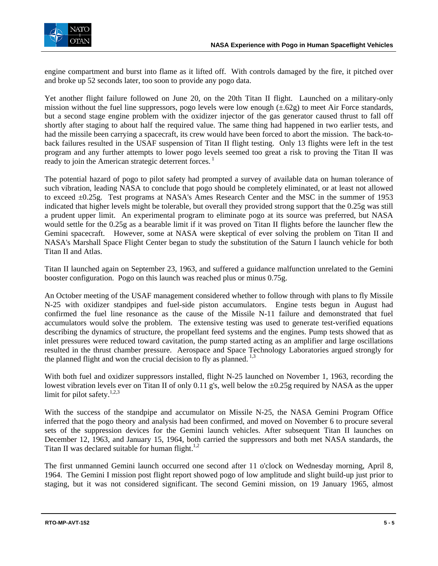

engine compartment and burst into flame as it lifted off. With controls damaged by the fire, it pitched over and broke up 52 seconds later, too soon to provide any pogo data.

Yet another flight failure followed on June 20, on the 20th Titan II flight. Launched on a military-only mission without the fuel line suppressors, pogo levels were low enough  $(\pm .62g)$  to meet Air Force standards, but a second stage engine problem with the oxidizer injector of the gas generator caused thrust to fall off shortly after staging to about half the required value. The same thing had happened in two earlier tests, and had the missile been carrying a spacecraft, its crew would have been forced to abort the mission. The back-toback failures resulted in the USAF suspension of Titan II flight testing. Only 13 flights were left in the test program and any further attempts to lower pogo levels seemed too great a risk to proving the Titan II was ready to join the American strategic deterrent forces.<sup>1</sup>

The potential hazard of pogo to pilot safety had prompted a survey of available data on human tolerance of such vibration, leading NASA to conclude that pogo should be completely eliminated, or at least not allowed to exceed ±0.25g. Test programs at NASA's Ames Research Center and the MSC in the summer of 1953 indicated that higher levels might be tolerable, but overall they provided strong support that the 0.25g was still a prudent upper limit. An experimental program to eliminate pogo at its source was preferred, but NASA would settle for the 0.25g as a bearable limit if it was proved on Titan II flights before the launcher flew the Gemini spacecraft. However, some at NASA were skeptical of ever solving the problem on Titan II and NASA's Marshall Space Flight Center began to study the substitution of the Saturn I launch vehicle for both Titan II and Atlas.

Titan II launched again on September 23, 1963, and suffered a guidance malfunction unrelated to the Gemini booster configuration. Pogo on this launch was reached plus or minus 0.75g.

An October meeting of the USAF management considered whether to follow through with plans to fly Missile N-25 with oxidizer standpipes and fuel-side piston accumulators. Engine tests begun in August had confirmed the fuel line resonance as the cause of the Missile N-11 failure and demonstrated that fuel accumulators would solve the problem. The extensive testing was used to generate test-verified equations describing the dynamics of structure, the propellant feed systems and the engines. Pump tests showed that as inlet pressures were reduced toward cavitation, the pump started acting as an amplifier and large oscillations resulted in the thrust chamber pressure. Aerospace and Space Technology Laboratories argued strongly for the planned flight and won the crucial decision to fly as planned.<sup>1,3</sup>

With both fuel and oxidizer suppressors installed, flight N-25 launched on November 1, 1963, recording the lowest vibration levels ever on Titan II of only 0.11 g's, well below the ±0.25g required by NASA as the upper limit for pilot safety.<sup>1,2,3</sup>

With the success of the standpipe and accumulator on Missile N-25, the NASA Gemini Program Office inferred that the pogo theory and analysis had been confirmed, and moved on November 6 to procure several sets of the suppression devices for the Gemini launch vehicles. After subsequent Titan II launches on December 12, 1963, and January 15, 1964, both carried the suppressors and both met NASA standards, the Titan II was declared suitable for human flight. $1,2$ 

The first unmanned Gemini launch occurred one second after 11 o'clock on Wednesday morning, April 8, 1964. The Gemini I mission post flight report showed pogo of low amplitude and slight build-up just prior to staging, but it was not considered significant. The second Gemini mission, on 19 January 1965, almost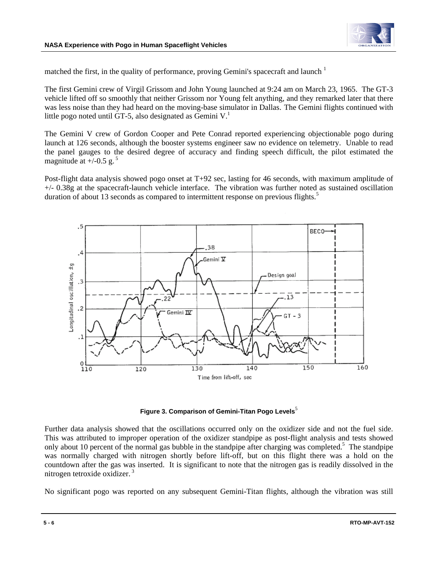

matched the first, in the quality of performance, proving Gemini's spacecraft and launch <sup>1</sup>

The first Gemini crew of Virgil Grissom and John Young launched at 9:24 am on March 23, 1965. The GT-3 vehicle lifted off so smoothly that neither Grissom nor Young felt anything, and they remarked later that there was less noise than they had heard on the moving-base simulator in Dallas. The Gemini flights continued with little pogo noted until GT-5, also designated as Gemini  $V<sup>1</sup>$ .

The Gemini V crew of Gordon Cooper and Pete Conrad reported experiencing objectionable pogo during launch at 126 seconds, although the booster systems engineer saw no evidence on telemetry. Unable to read the panel gauges to the desired degree of accuracy and finding speech difficult, the pilot estimated the magnitude at  $+/-0.5$  g.<sup>5</sup>

Post-flight data analysis showed pogo onset at T+92 sec, lasting for 46 seconds, with maximum amplitude of +/- 0.38g at the spacecraft-launch vehicle interface. The vibration was further noted as sustained oscillation duration of about 13 seconds as compared to intermittent response on previous flights.<sup>5</sup>



**Figure 3. Comparison of Gemini-Titan Pogo Levels**<sup>5</sup>

Further data analysis showed that the oscillations occurred only on the oxidizer side and not the fuel side. This was attributed to improper operation of the oxidizer standpipe as post-flight analysis and tests showed only about 10 percent of the normal gas bubble in the standpipe after charging was completed.<sup>5</sup> The standpipe was normally charged with nitrogen shortly before lift-off, but on this flight there was a hold on the countdown after the gas was inserted. It is significant to note that the nitrogen gas is readily dissolved in the nitrogen tetroxide oxidizer. 3

No significant pogo was reported on any subsequent Gemini-Titan flights, although the vibration was still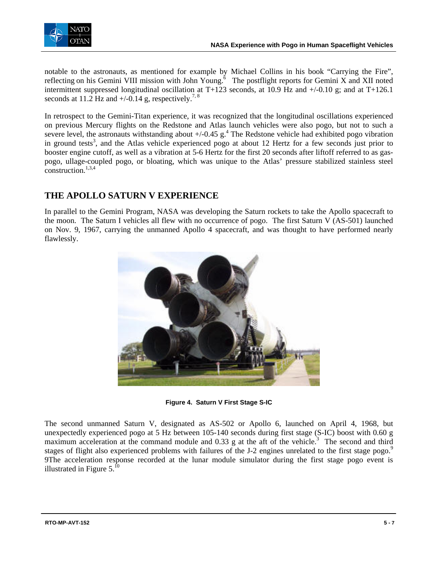

notable to the astronauts, as mentioned for example by Michael Collins in his book "Carrying the Fire", reflecting on his Gemini VIII mission with John Young.<sup>6</sup> The postflight reports for Gemini X and XII noted intermittent suppressed longitudinal oscillation at T+123 seconds, at 10.9 Hz and  $+/-0.10$  g; and at T+126.1 seconds at 11.2 Hz and  $+/-0.14$  g, respectively.<sup>7, 8</sup>

In retrospect to the Gemini-Titan experience, it was recognized that the longitudinal oscillations experienced on previous Mercury flights on the Redstone and Atlas launch vehicles were also pogo, but not to such a severe level, the astronauts withstanding about  $+/-0.45$  g.<sup>4</sup> The Redstone vehicle had exhibited pogo vibration in ground tests<sup>3</sup>, and the Atlas vehicle experienced pogo at about 12 Hertz for a few seconds just prior to booster engine cutoff, as well as a vibration at 5-6 Hertz for the first 20 seconds after liftoff referred to as gaspogo, ullage-coupled pogo, or bloating, which was unique to the Atlas' pressure stabilized stainless steel  $construction<sup>1,3,4</sup>$ 

## **THE APOLLO SATURN V EXPERIENCE**

In parallel to the Gemini Program, NASA was developing the Saturn rockets to take the Apollo spacecraft to the moon. The Saturn I vehicles all flew with no occurrence of pogo. The first Saturn V (AS-501) launched on Nov. 9, 1967, carrying the unmanned Apollo 4 spacecraft, and was thought to have performed nearly flawlessly.



**Figure 4. Saturn V First Stage S-IC** 

The second unmanned Saturn V, designated as AS-502 or Apollo 6, launched on April 4, 1968, but unexpectedly experienced pogo at 5 Hz between 105-140 seconds during first stage (S-IC) boost with 0.60 g maximum acceleration at the command module and  $0.33$  g at the aft of the vehicle.<sup>3</sup> The second and third stages of flight also experienced problems with failures of the J-2 engines unrelated to the first stage pogo.<sup>9</sup> 9The acceleration response recorded at the lunar module simulator during the first stage pogo event is illustrated in Figure  $5.^{10}$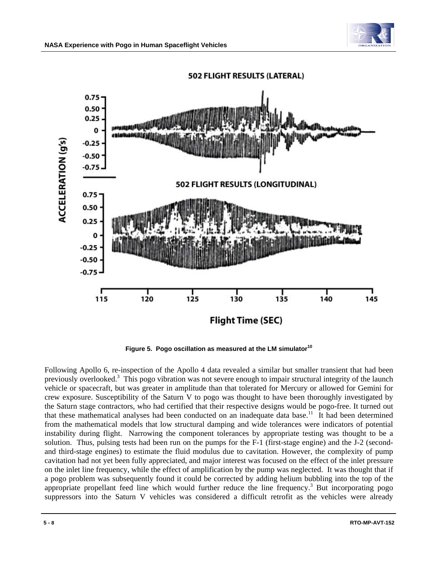



Figure 5. Pogo oscillation as measured at the LM simulator<sup>10</sup>

Following Apollo 6, re-inspection of the Apollo 4 data revealed a similar but smaller transient that had been previously overlooked.<sup>3</sup> This pogo vibration was not severe enough to impair structural integrity of the launch vehicle or spacecraft, but was greater in amplitude than that tolerated for Mercury or allowed for Gemini for crew exposure. Susceptibility of the Saturn V to pogo was thought to have been thoroughly investigated by the Saturn stage contractors, who had certified that their respective designs would be pogo-free. It turned out that these mathematical analyses had been conducted on an inadequate data base.<sup>11</sup> It had been determined from the mathematical models that low structural damping and wide tolerances were indicators of potential instability during flight. Narrowing the component tolerances by appropriate testing was thought to be a solution. Thus, pulsing tests had been run on the pumps for the F-1 (first-stage engine) and the J-2 (secondand third-stage engines) to estimate the fluid modulus due to cavitation. However, the complexity of pump cavitation had not yet been fully appreciated, and major interest was focused on the effect of the inlet pressure on the inlet line frequency, while the effect of amplification by the pump was neglected. It was thought that if a pogo problem was subsequently found it could be corrected by adding helium bubbling into the top of the appropriate propellant feed line which would further reduce the line frequency.<sup>3</sup> But incorporating pogo suppressors into the Saturn V vehicles was considered a difficult retrofit as the vehicles were already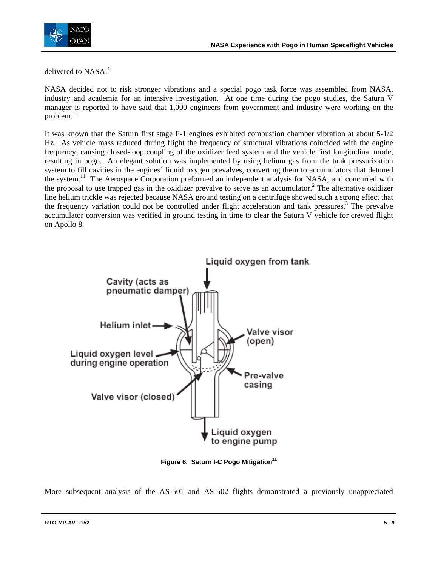

delivered to NASA.<sup>4</sup>

NASA decided not to risk stronger vibrations and a special pogo task force was assembled from NASA, industry and academia for an intensive investigation. At one time during the pogo studies, the Saturn V manager is reported to have said that 1,000 engineers from government and industry were working on the problem.<sup>12</sup>

It was known that the Saturn first stage F-1 engines exhibited combustion chamber vibration at about 5-1/2 Hz. As vehicle mass reduced during flight the frequency of structural vibrations coincided with the engine frequency, causing closed-loop coupling of the oxidizer feed system and the vehicle first longitudinal mode, resulting in pogo. An elegant solution was implemented by using helium gas from the tank pressurization system to fill cavities in the engines' liquid oxygen prevalves, converting them to accumulators that detuned the system.<sup>11</sup> The Aerospace Corporation preformed an independent analysis for NASA, and concurred with the proposal to use trapped gas in the oxidizer prevalve to serve as an accumulator.<sup>2</sup> The alternative oxidizer line helium trickle was rejected because NASA ground testing on a centrifuge showed such a strong effect that the frequency variation could not be controlled under flight acceleration and tank pressures.<sup>3</sup> The prevalve accumulator conversion was verified in ground testing in time to clear the Saturn V vehicle for crewed flight on Apollo 8.



Figure 6. Saturn I-C Pogo Mitigation<sup>11</sup>

More subsequent analysis of the AS-501 and AS-502 flights demonstrated a previously unappreciated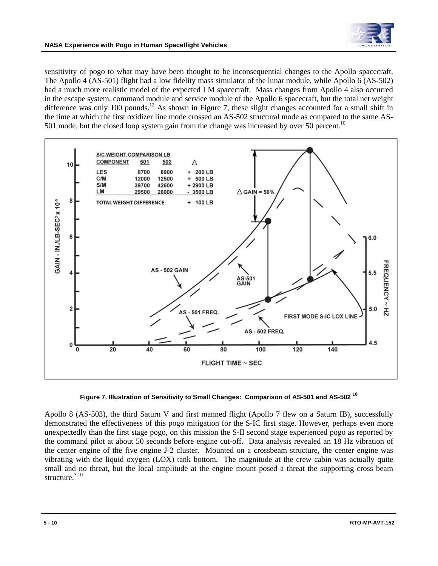

sensitivity of pogo to what may have been thought to be inconsequential changes to the Apollo spacecraft. The Apollo 4 (AS-501) flight had a low fidelity mass simulator of the lunar module, while Apollo 6 (AS-502) had a much more realistic model of the expected LM spacecraft. Mass changes from Apollo 4 also occurred in the escape system, command module and service module of the Apollo 6 spacecraft, but the total net weight difference was only 100 pounds.<sup>12</sup> As shown in Figure 7, these slight changes accounted for a small shift in the time at which the first oxidizer line mode crossed an AS-502 structural mode as compared to the same AS-501 mode, but the closed loop system gain from the change was increased by over 50 percent.<sup>10</sup>





Apollo 8 (AS-503), the third Saturn V and first manned flight (Apollo 7 flew on a Saturn IB), successfully demonstrated the effectiveness of this pogo mitigation for the S-IC first stage. However, perhaps even more unexpectedly than the first stage pogo, on this mission the S-II second stage experienced pogo as reported by the command pilot at about 50 seconds before engine cut-off. Data analysis revealed an 18 Hz vibration of the center engine of the five engine J-2 cluster. Mounted on a crossbeam structure, the center engine was vibrating with the liquid oxygen (LOX) tank bottom. The magnitude at the crew cabin was actually quite small and no threat, but the local amplitude at the engine mount posed a threat the supporting cross beam structure. $3,10$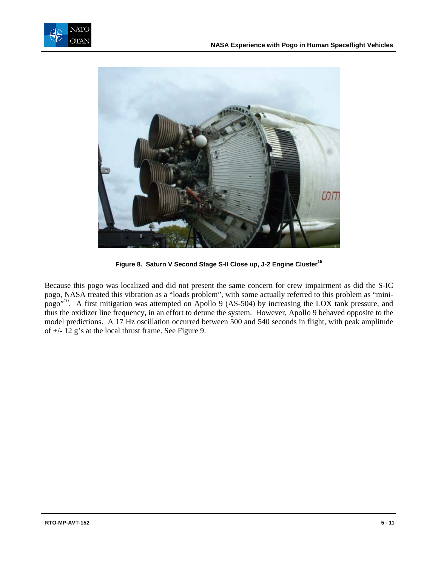



Figure 8. Saturn V Second Stage S-II Close up, J-2 Engine Cluster<sup>15</sup>

Because this pogo was localized and did not present the same concern for crew impairment as did the S-IC pogo, NASA treated this vibration as a "loads problem", with some actually referred to this problem as "minipogo"10. A first mitigation was attempted on Apollo 9 (AS-504) by increasing the LOX tank pressure, and thus the oxidizer line frequency, in an effort to detune the system. However, Apollo 9 behaved opposite to the model predictions. A 17 Hz oscillation occurred between 500 and 540 seconds in flight, with peak amplitude of +/- 12 g's at the local thrust frame. See Figure 9.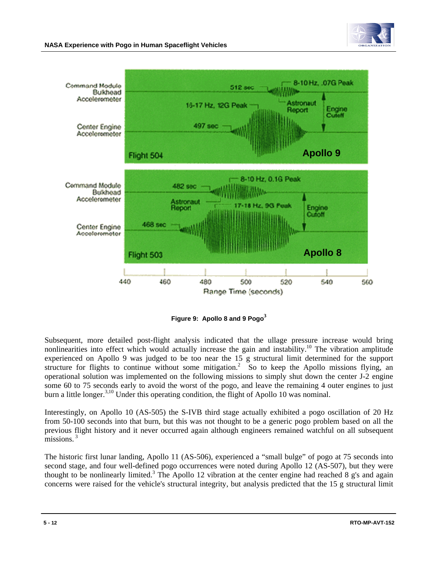



**Figure 9: Apollo 8 and 9 Pogo<sup>3</sup>**

Subsequent, more detailed post-flight analysis indicated that the ullage pressure increase would bring nonlinearities into effect which would actually increase the gain and instability.<sup>10</sup> The vibration amplitude experienced on Apollo 9 was judged to be too near the 15 g structural limit determined for the support structure for flights to continue without some mitigation.<sup>2</sup> So to keep the Apollo missions flying, an operational solution was implemented on the following missions to simply shut down the center J-2 engine some 60 to 75 seconds early to avoid the worst of the pogo, and leave the remaining 4 outer engines to just burn a little longer.<sup>3,10</sup> Under this operating condition, the flight of Apollo 10 was nominal.

Interestingly, on Apollo 10 (AS-505) the S-IVB third stage actually exhibited a pogo oscillation of 20 Hz from 50-100 seconds into that burn, but this was not thought to be a generic pogo problem based on all the previous flight history and it never occurred again although engineers remained watchful on all subsequent missions. $3$ 

The historic first lunar landing, Apollo 11 (AS-506), experienced a "small bulge" of pogo at 75 seconds into second stage, and four well-defined pogo occurrences were noted during Apollo 12 (AS-507), but they were thought to be nonlinearly limited.<sup>3</sup> The Apollo 12 vibration at the center engine had reached 8 g's and again concerns were raised for the vehicle's structural integrity, but analysis predicted that the 15 g structural limit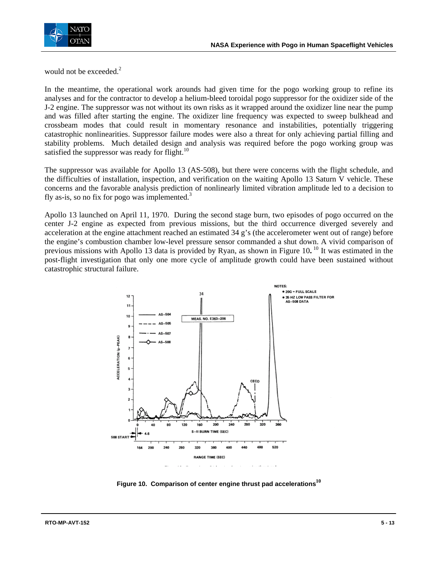

would not be exceeded.<sup>2</sup>

In the meantime, the operational work arounds had given time for the pogo working group to refine its analyses and for the contractor to develop a helium-bleed toroidal pogo suppressor for the oxidizer side of the J-2 engine. The suppressor was not without its own risks as it wrapped around the oxidizer line near the pump and was filled after starting the engine. The oxidizer line frequency was expected to sweep bulkhead and crossbeam modes that could result in momentary resonance and instabilities, potentially triggering catastrophic nonlinearities. Suppressor failure modes were also a threat for only achieving partial filling and stability problems. Much detailed design and analysis was required before the pogo working group was satisfied the suppressor was ready for flight. $10$ 

The suppressor was available for Apollo 13 (AS-508), but there were concerns with the flight schedule, and the difficulties of installation, inspection, and verification on the waiting Apollo 13 Saturn V vehicle. These concerns and the favorable analysis prediction of nonlinearly limited vibration amplitude led to a decision to fly as-is, so no fix for pogo was implemented. $3$ 

Apollo 13 launched on April 11, 1970. During the second stage burn, two episodes of pogo occurred on the center J-2 engine as expected from previous missions, but the third occurrence diverged severely and acceleration at the engine attachment reached an estimated 34 g's (the accelerometer went out of range) before the engine's combustion chamber low-level pressure sensor commanded a shut down. A vivid comparison of previous missions with Apollo 13 data is provided by Ryan, as shown in Figure 10.<sup>10</sup> It was estimated in the post-flight investigation that only one more cycle of amplitude growth could have been sustained without catastrophic structural failure.



**Figure 10. Comparison of center engine thrust pad accelerations<sup>10</sup>**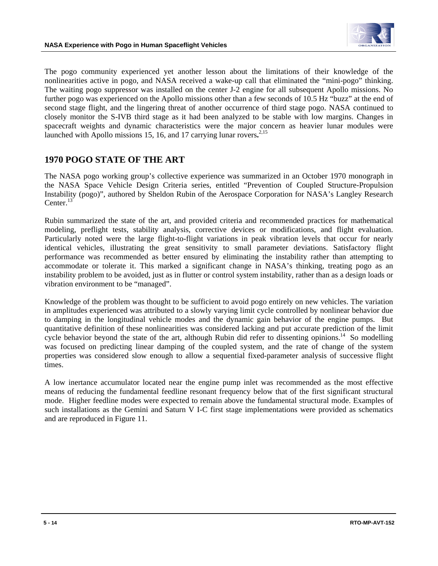

The pogo community experienced yet another lesson about the limitations of their knowledge of the nonlinearities active in pogo, and NASA received a wake-up call that eliminated the "mini-pogo" thinking. The waiting pogo suppressor was installed on the center J-2 engine for all subsequent Apollo missions. No further pogo was experienced on the Apollo missions other than a few seconds of 10.5 Hz "buzz" at the end of second stage flight, and the lingering threat of another occurrence of third stage pogo. NASA continued to closely monitor the S-IVB third stage as it had been analyzed to be stable with low margins. Changes in spacecraft weights and dynamic characteristics were the major concern as heavier lunar modules were launched with Apollo missions 15, 16, and 17 carrying lunar rovers**.** 2,15

#### **1970 POGO STATE OF THE ART**

The NASA pogo working group's collective experience was summarized in an October 1970 monograph in the NASA Space Vehicle Design Criteria series, entitled "Prevention of Coupled Structure-Propulsion Instability (pogo)", authored by Sheldon Rubin of the Aerospace Corporation for NASA's Langley Research Center.<sup>13</sup>

Rubin summarized the state of the art, and provided criteria and recommended practices for mathematical modeling, preflight tests, stability analysis, corrective devices or modifications, and flight evaluation. Particularly noted were the large flight-to-flight variations in peak vibration levels that occur for nearly identical vehicles, illustrating the great sensitivity to small parameter deviations. Satisfactory flight performance was recommended as better ensured by eliminating the instability rather than attempting to accommodate or tolerate it. This marked a significant change in NASA's thinking, treating pogo as an instability problem to be avoided, just as in flutter or control system instability, rather than as a design loads or vibration environment to be "managed".

Knowledge of the problem was thought to be sufficient to avoid pogo entirely on new vehicles. The variation in amplitudes experienced was attributed to a slowly varying limit cycle controlled by nonlinear behavior due to damping in the longitudinal vehicle modes and the dynamic gain behavior of the engine pumps. But quantitative definition of these nonlinearities was considered lacking and put accurate prediction of the limit cycle behavior beyond the state of the art, although Rubin did refer to dissenting opinions.<sup>14</sup> So modelling was focused on predicting linear damping of the coupled system, and the rate of change of the system properties was considered slow enough to allow a sequential fixed-parameter analysis of successive flight times.

A low inertance accumulator located near the engine pump inlet was recommended as the most effective means of reducing the fundamental feedline resonant frequency below that of the first significant structural mode. Higher feedline modes were expected to remain above the fundamental structural mode. Examples of such installations as the Gemini and Saturn V I-C first stage implementations were provided as schematics and are reproduced in Figure 11.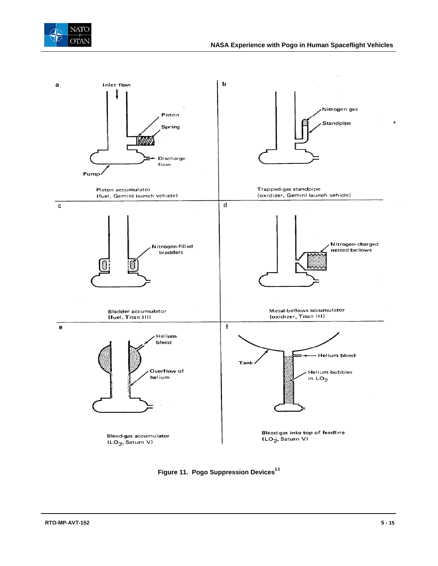



**Figure 11. Pogo Suppression Devices<sup>13</sup>**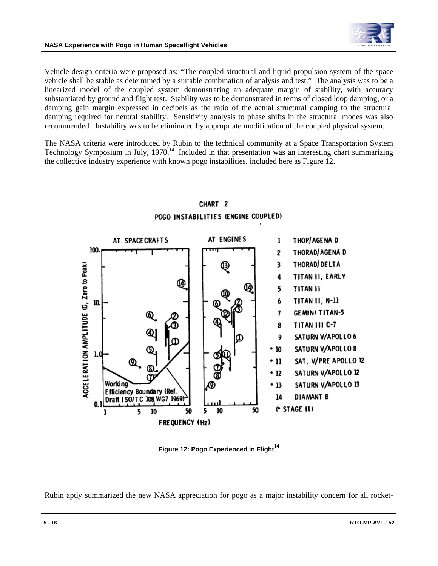

Vehicle design criteria were proposed as: "The coupled structural and liquid propulsion system of the space vehicle shall be stable as determined by a suitable combination of analysis and test." The analysis was to be a linearized model of the coupled system demonstrating an adequate margin of stability, with accuracy substantiated by ground and flight test. Stability was to be demonstrated in terms of closed loop damping, or a damping gain margin expressed in decibels as the ratio of the actual structural damping to the structural damping required for neutral stability. Sensitivity analysis to phase shifts in the structural modes was also recommended. Instability was to be eliminated by appropriate modification of the coupled physical system.

The NASA criteria were introduced by Rubin to the technical community at a Space Transportation System Technology Symposium in July, 1970.<sup>14</sup> Included in that presentation was an interesting chart summarizing the collective industry experience with known pogo instabilities, included here as Figure 12.



### CHART<sub>2</sub> POGO INSTABILITIES (ENGINE COUPLED)

**Figure 12: Pogo Experienced in Flight<sup>14</sup>**

Rubin aptly summarized the new NASA appreciation for pogo as a major instability concern for all rocket-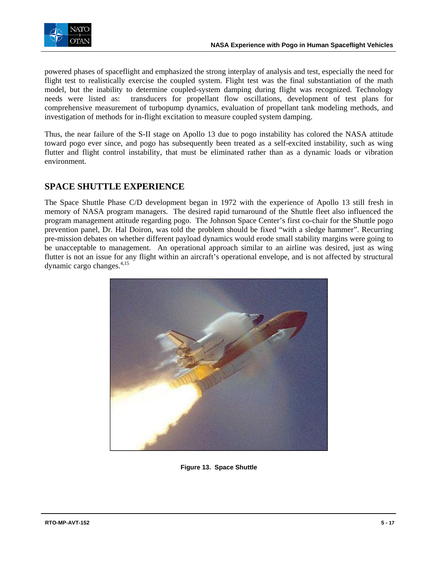

powered phases of spaceflight and emphasized the strong interplay of analysis and test, especially the need for flight test to realistically exercise the coupled system. Flight test was the final substantiation of the math model, but the inability to determine coupled-system damping during flight was recognized. Technology needs were listed as: transducers for propellant flow oscillations, development of test plans for comprehensive measurement of turbopump dynamics, evaluation of propellant tank modeling methods, and investigation of methods for in-flight excitation to measure coupled system damping.

Thus, the near failure of the S-II stage on Apollo 13 due to pogo instability has colored the NASA attitude toward pogo ever since, and pogo has subsequently been treated as a self-excited instability, such as wing flutter and flight control instability, that must be eliminated rather than as a dynamic loads or vibration environment.

## **SPACE SHUTTLE EXPERIENCE**

The Space Shuttle Phase C/D development began in 1972 with the experience of Apollo 13 still fresh in memory of NASA program managers. The desired rapid turnaround of the Shuttle fleet also influenced the program management attitude regarding pogo. The Johnson Space Center's first co-chair for the Shuttle pogo prevention panel, Dr. Hal Doiron, was told the problem should be fixed "with a sledge hammer". Recurring pre-mission debates on whether different payload dynamics would erode small stability margins were going to be unacceptable to management. An operational approach similar to an airline was desired, just as wing flutter is not an issue for any flight within an aircraft's operational envelope, and is not affected by structural dynamic cargo changes.<sup>4,15</sup>



**Figure 13. Space Shuttle**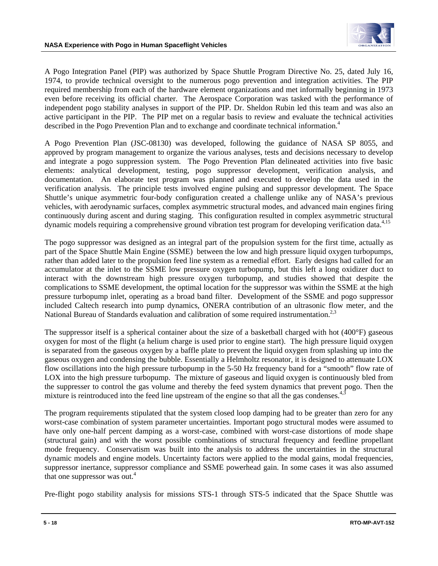

A Pogo Integration Panel (PIP) was authorized by Space Shuttle Program Directive No. 25, dated July 16, 1974, to provide technical oversight to the numerous pogo prevention and integration activities. The PIP required membership from each of the hardware element organizations and met informally beginning in 1973 even before receiving its official charter. The Aerospace Corporation was tasked with the performance of independent pogo stability analyses in support of the PIP. Dr. Sheldon Rubin led this team and was also an active participant in the PIP. The PIP met on a regular basis to review and evaluate the technical activities described in the Pogo Prevention Plan and to exchange and coordinate technical information.<sup>4</sup>

A Pogo Prevention Plan (JSC-08130) was developed, following the guidance of NASA SP 8055, and approved by program management to organize the various analyses, tests and decisions necessary to develop and integrate a pogo suppression system. The Pogo Prevention Plan delineated activities into five basic elements: analytical development, testing, pogo suppressor development, verification analysis, and documentation. An elaborate test program was planned and executed to develop the data used in the verification analysis. The principle tests involved engine pulsing and suppressor development. The Space Shuttle's unique asymmetric four-body configuration created a challenge unlike any of NASA's previous vehicles, with aerodynamic surfaces, complex asymmetric structural modes, and advanced main engines firing continuously during ascent and during staging. This configuration resulted in complex asymmetric structural dynamic models requiring a comprehensive ground vibration test program for developing verification data.4,15

The pogo suppressor was designed as an integral part of the propulsion system for the first time, actually as part of the Space Shuttle Main Engine (SSME) between the low and high pressure liquid oxygen turbopumps, rather than added later to the propulsion feed line system as a remedial effort. Early designs had called for an accumulator at the inlet to the SSME low pressure oxygen turbopump, but this left a long oxidizer duct to interact with the downstream high pressure oxygen turbopump, and studies showed that despite the complications to SSME development, the optimal location for the suppressor was within the SSME at the high pressure turbopump inlet, operating as a broad band filter. Development of the SSME and pogo suppressor included Caltech research into pump dynamics, ONERA contribution of an ultrasonic flow meter, and the National Bureau of Standards evaluation and calibration of some required instrumentation.<sup>2,3</sup>

The suppressor itself is a spherical container about the size of a basketball charged with hot (400°F) gaseous oxygen for most of the flight (a helium charge is used prior to engine start). The high pressure liquid oxygen is separated from the gaseous oxygen by a baffle plate to prevent the liquid oxygen from splashing up into the gaseous oxygen and condensing the bubble. Essentially a Helmholtz resonator, it is designed to attenuate LOX flow oscillations into the high pressure turbopump in the 5-50 Hz frequency band for a "smooth" flow rate of LOX into the high pressure turbopump. The mixture of gaseous and liquid oxygen is continuously bled from the suppresser to control the gas volume and thereby the feed system dynamics that prevent pogo. Then the mixture is reintroduced into the feed line upstream of the engine so that all the gas condenses.<sup>4,3</sup>

The program requirements stipulated that the system closed loop damping had to be greater than zero for any worst-case combination of system parameter uncertainties. Important pogo structural modes were assumed to have only one-half percent damping as a worst-case, combined with worst-case distortions of mode shape (structural gain) and with the worst possible combinations of structural frequency and feedline propellant mode frequency. Conservatism was built into the analysis to address the uncertainties in the structural dynamic models and engine models. Uncertainty factors were applied to the modal gains, modal frequencies, suppressor inertance, suppressor compliance and SSME powerhead gain. In some cases it was also assumed that one suppressor was out.<sup>4</sup>

Pre-flight pogo stability analysis for missions STS-1 through STS-5 indicated that the Space Shuttle was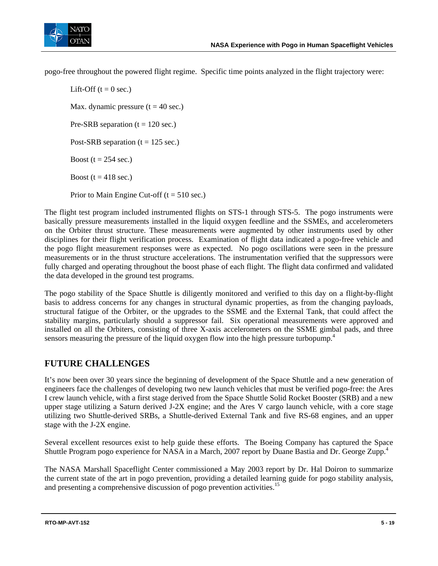

pogo-free throughout the powered flight regime. Specific time points analyzed in the flight trajectory were:

Lift-Off  $(t = 0 \text{ sec.})$ Max. dynamic pressure  $(t = 40 \text{ sec.})$ Pre-SRB separation  $(t = 120 \text{ sec.})$ Post-SRB separation ( $t = 125$  sec.) Boost ( $t = 254$  sec.) Boost ( $t = 418$  sec.) Prior to Main Engine Cut-off  $(t = 510 \text{ sec.})$ 

The flight test program included instrumented flights on STS-1 through STS-5. The pogo instruments were basically pressure measurements installed in the liquid oxygen feedline and the SSMEs, and accelerometers on the Orbiter thrust structure. These measurements were augmented by other instruments used by other disciplines for their flight verification process. Examination of flight data indicated a pogo-free vehicle and the pogo flight measurement responses were as expected. No pogo oscillations were seen in the pressure measurements or in the thrust structure accelerations. The instrumentation verified that the suppressors were fully charged and operating throughout the boost phase of each flight. The flight data confirmed and validated the data developed in the ground test programs.

The pogo stability of the Space Shuttle is diligently monitored and verified to this day on a flight-by-flight basis to address concerns for any changes in structural dynamic properties, as from the changing payloads, structural fatigue of the Orbiter, or the upgrades to the SSME and the External Tank, that could affect the stability margins, particularly should a suppressor fail. Six operational measurements were approved and installed on all the Orbiters, consisting of three X-axis accelerometers on the SSME gimbal pads, and three sensors measuring the pressure of the liquid oxygen flow into the high pressure turbopump.<sup>4</sup>

### **FUTURE CHALLENGES**

It's now been over 30 years since the beginning of development of the Space Shuttle and a new generation of engineers face the challenges of developing two new launch vehicles that must be verified pogo-free: the Ares I crew launch vehicle, with a first stage derived from the Space Shuttle Solid Rocket Booster (SRB) and a new upper stage utilizing a Saturn derived J-2X engine; and the Ares V cargo launch vehicle, with a core stage utilizing two Shuttle-derived SRBs, a Shuttle-derived External Tank and five RS-68 engines, and an upper stage with the J-2X engine.

Several excellent resources exist to help guide these efforts. The Boeing Company has captured the Space Shuttle Program pogo experience for NASA in a March, 2007 report by Duane Bastia and Dr. George Zupp.<sup>4</sup>

The NASA Marshall Spaceflight Center commissioned a May 2003 report by Dr. Hal Doiron to summarize the current state of the art in pogo prevention, providing a detailed learning guide for pogo stability analysis, and presenting a comprehensive discussion of pogo prevention activities.<sup>15</sup>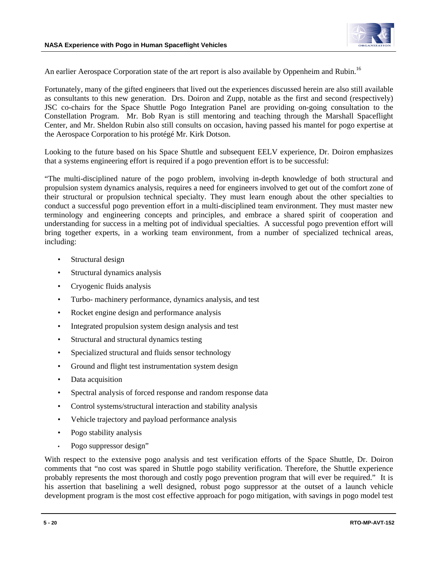

An earlier Aerospace Corporation state of the art report is also available by Oppenheim and Rubin.<sup>16</sup>

Fortunately, many of the gifted engineers that lived out the experiences discussed herein are also still available as consultants to this new generation. Drs. Doiron and Zupp, notable as the first and second (respectively) JSC co-chairs for the Space Shuttle Pogo Integration Panel are providing on-going consultation to the Constellation Program. Mr. Bob Ryan is still mentoring and teaching through the Marshall Spaceflight Center, and Mr. Sheldon Rubin also still consults on occasion, having passed his mantel for pogo expertise at the Aerospace Corporation to his protégé Mr. Kirk Dotson.

Looking to the future based on his Space Shuttle and subsequent EELV experience, Dr. Doiron emphasizes that a systems engineering effort is required if a pogo prevention effort is to be successful:

"The multi-disciplined nature of the pogo problem, involving in-depth knowledge of both structural and propulsion system dynamics analysis, requires a need for engineers involved to get out of the comfort zone of their structural or propulsion technical specialty. They must learn enough about the other specialties to conduct a successful pogo prevention effort in a multi-disciplined team environment. They must master new terminology and engineering concepts and principles, and embrace a shared spirit of cooperation and understanding for success in a melting pot of individual specialties. A successful pogo prevention effort will bring together experts, in a working team environment, from a number of specialized technical areas, including:

- Structural design
- Structural dynamics analysis
- Cryogenic fluids analysis
- Turbo- machinery performance, dynamics analysis, and test
- Rocket engine design and performance analysis
- Integrated propulsion system design analysis and test
- Structural and structural dynamics testing
- Specialized structural and fluids sensor technology
- Ground and flight test instrumentation system design
- Data acquisition
- Spectral analysis of forced response and random response data
- Control systems/structural interaction and stability analysis
- Vehicle trajectory and payload performance analysis
- Pogo stability analysis
- Pogo suppressor design"

With respect to the extensive pogo analysis and test verification efforts of the Space Shuttle, Dr. Doiron comments that "no cost was spared in Shuttle pogo stability verification. Therefore, the Shuttle experience probably represents the most thorough and costly pogo prevention program that will ever be required." It is his assertion that baselining a well designed, robust pogo suppressor at the outset of a launch vehicle development program is the most cost effective approach for pogo mitigation, with savings in pogo model test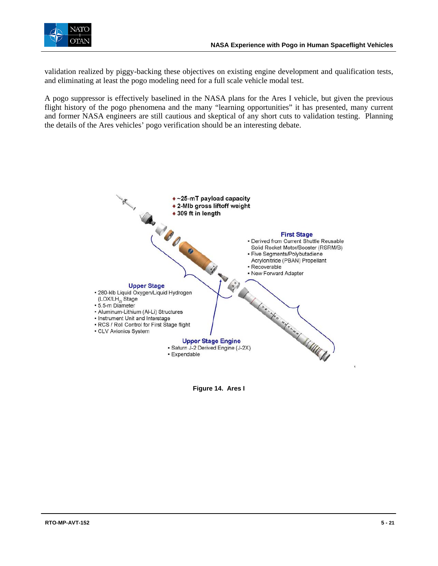

validation realized by piggy-backing these objectives on existing engine development and qualification tests, and eliminating at least the pogo modeling need for a full scale vehicle modal test.

A pogo suppressor is effectively baselined in the NASA plans for the Ares I vehicle, but given the previous flight history of the pogo phenomena and the many "learning opportunities" it has presented, many current and former NASA engineers are still cautious and skeptical of any short cuts to validation testing. Planning the details of the Ares vehicles' pogo verification should be an interesting debate.



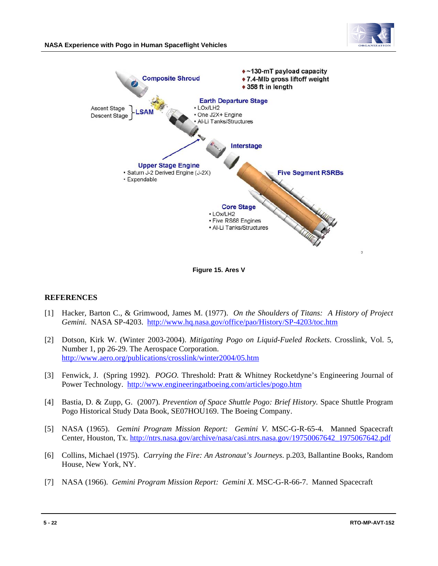



**Figure 15. Ares V** 

#### **REFERENCES**

- [1] Hacker, Barton C., & Grimwood, James M. (1977). *On the Shoulders of Titans: A History of Project Gemini.* NASA SP-4203. http://www.hq.nasa.gov/office/pao/History/SP-4203/toc.htm
- [2] Dotson, Kirk W. (Winter 2003-2004). *Mitigating Pogo on Liquid-Fueled Rockets*. Crosslink, Vol. 5, Number 1, pp 26-29. The Aerospace Corporation. http://www.aero.org/publications/crosslink/winter2004/05.htm
- [3] Fenwick, J. (Spring 1992). *POGO.* Threshold: Pratt & Whitney Rocketdyne's Engineering Journal of Power Technology. http://www.engineeringatboeing.com/articles/pogo.htm
- [4] Bastia, D. & Zupp, G. (2007). *Prevention of Space Shuttle Pogo: Brief History.* Space Shuttle Program Pogo Historical Study Data Book, SE07HOU169. The Boeing Company.
- [5] NASA (1965). *Gemini Program Mission Report: Gemini V.* MSC-G-R-65-4. Manned Spacecraft Center, Houston, Tx. http://ntrs.nasa.gov/archive/nasa/casi.ntrs.nasa.gov/19750067642\_1975067642.pdf
- [6] Collins, Michael (1975). *Carrying the Fire: An Astronaut's Journeys*. p.203, Ballantine Books, Random House, New York, NY.
- [7] NASA (1966). *Gemini Program Mission Report: Gemini X.* MSC-G-R-66-7. Manned Spacecraft